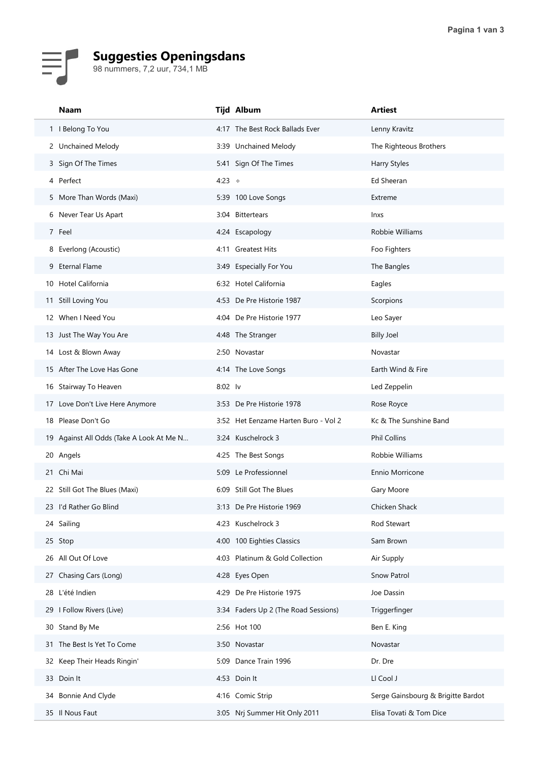## Suggesties Openingsdans

| 98 nummers, 7,2 uur, 734,1 MB            |                                      |                                    |
|------------------------------------------|--------------------------------------|------------------------------------|
|                                          |                                      |                                    |
| <b>Naam</b>                              | Tijd Album                           | <b>Artiest</b>                     |
| 1   Belong To You                        | 4:17 The Best Rock Ballads Ever      | Lenny Kravitz                      |
| 2 Unchained Melody                       | 3:39 Unchained Melody                | The Righteous Brothers             |
| 3 Sign Of The Times                      | 5:41 Sign Of The Times               | Harry Styles                       |
| 4 Perfect<br>5 More Than Words (Maxi)    | 4:23 $\div$<br>5:39 100 Love Songs   | Ed Sheeran<br>Extreme              |
| 6 Never Tear Us Apart                    | 3:04 Bittertears                     | Inxs                               |
| 7 Feel                                   | 4:24 Escapology                      | Robbie Williams                    |
| 8 Everlong (Acoustic)                    | 4:11 Greatest Hits                   | Foo Fighters                       |
| 9 Eternal Flame                          | 3:49 Especially For You              | The Bangles                        |
| 10 Hotel California                      | 6:32 Hotel California                | Eagles                             |
| 11 Still Loving You                      | 4:53 De Pre Historie 1987            | Scorpions                          |
| 12 When I Need You                       | 4:04 De Pre Historie 1977            | Leo Sayer                          |
| 13 Just The Way You Are                  | 4:48 The Stranger                    | <b>Billy Joel</b>                  |
| 14 Lost & Blown Away                     | 2:50 Novastar                        | Novastar                           |
| 15 After The Love Has Gone               | 4:14 The Love Songs                  | Earth Wind & Fire                  |
| 16 Stairway To Heaven                    | 8:02 lv                              | Led Zeppelin                       |
| 17 Love Don't Live Here Anymore          | 3:53 De Pre Historie 1978            | Rose Royce                         |
| 18 Please Don't Go                       | 3:52 Het Eenzame Harten Buro - Vol 2 | Kc & The Sunshine Band             |
| 19 Against All Odds (Take A Look At Me N | 3:24 Kuschelrock 3                   | Phil Collins                       |
| 20 Angels                                | 4:25 The Best Songs                  | Robbie Williams                    |
| 21 Chi Mai                               | 5:09 Le Professionnel                | Ennio Morricone                    |
| 22 Still Got The Blues (Maxi)            | 6:09 Still Got The Blues             | Gary Moore                         |
| 23 I'd Rather Go Blind                   | 3:13 De Pre Historie 1969            | Chicken Shack                      |
| 24 Sailing                               | 4:23 Kuschelrock 3                   | Rod Stewart                        |
| 25 Stop                                  | 4:00 100 Eighties Classics           | Sam Brown                          |
| 26 All Out Of Love                       | 4:03 Platinum & Gold Collection      | Air Supply                         |
| 27 Chasing Cars (Long)                   | 4:28 Eyes Open                       | Snow Patrol                        |
| 28 L'été Indien                          | 4:29 De Pre Historie 1975            | Joe Dassin                         |
| 29   Follow Rivers (Live)                | 3:34 Faders Up 2 (The Road Sessions) | Triggerfinger                      |
| 30 Stand By Me                           | 2:56 Hot 100                         | Ben E. King                        |
| 31 The Best Is Yet To Come               | 3:50 Novastar                        | Novastar                           |
| 32 Keep Their Heads Ringin'              | 5:09 Dance Train 1996                | Dr. Dre                            |
| 33 Doin It                               | 4:53 Doin It                         | LI Cool J                          |
| 34 Bonnie And Clyde                      | 4:16 Comic Strip                     | Serge Gainsbourg & Brigitte Bardot |
| 35 Il Nous Faut                          | 3:05 Nrj Summer Hit Only 2011        | Elisa Tovati & Tom Dice            |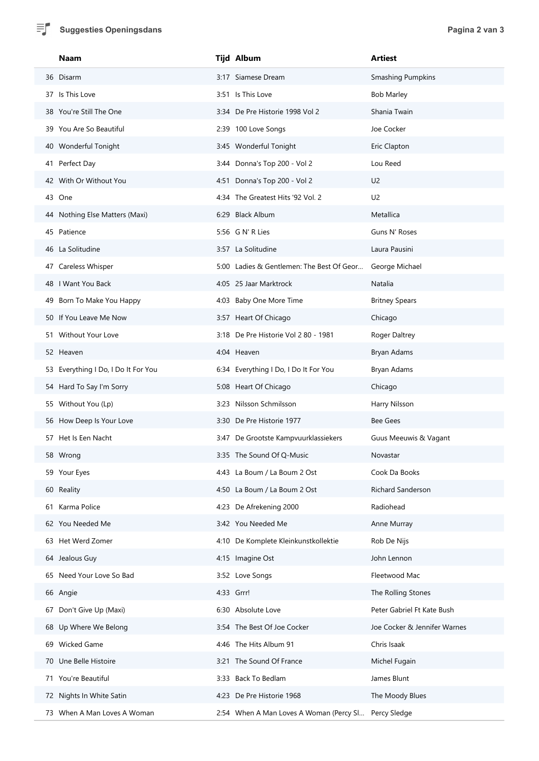| 틔 | <b>Suggesties Openingsdans</b>             |                                                      | Pagina 2 van 3                    |  |
|---|--------------------------------------------|------------------------------------------------------|-----------------------------------|--|
|   | Naam                                       | Tijd Album                                           | <b>Artiest</b>                    |  |
|   | 36 Disarm                                  | 3:17 Siamese Dream                                   | <b>Smashing Pumpkins</b>          |  |
|   | 37 Is This Love<br>38 You're Still The One | 3:51 Is This Love<br>3:34 De Pre Historie 1998 Vol 2 | <b>Bob Marley</b><br>Shania Twain |  |
|   | 39 You Are So Beautiful                    | 2:39 100 Love Songs                                  | Joe Cocker                        |  |
|   | 40 Wonderful Tonight                       | 3:45 Wonderful Tonight                               | Eric Clapton                      |  |
|   | 41 Perfect Day                             | 3:44 Donna's Top 200 - Vol 2                         | Lou Reed                          |  |
|   | 42 With Or Without You                     | 4:51 Donna's Top 200 - Vol 2                         | U <sub>2</sub>                    |  |
|   | 43 One                                     | 4:34 The Greatest Hits '92 Vol. 2                    | U <sub>2</sub>                    |  |
|   | 44 Nothing Else Matters (Maxi)             | 6:29 Black Album                                     | Metallica                         |  |
|   | 45 Patience                                | 5:56 G N' R Lies                                     | Guns N' Roses                     |  |
|   | 46 La Solitudine                           | 3:57 La Solitudine                                   | Laura Pausini                     |  |
|   | 47 Careless Whisper                        | 5:00 Ladies & Gentlemen: The Best Of Geor            | George Michael                    |  |
|   | 48   Want You Back                         | 4:05 25 Jaar Marktrock                               | Natalia                           |  |
|   | 49 Born To Make You Happy                  | 4:03 Baby One More Time                              | <b>Britney Spears</b>             |  |
|   | 50 If You Leave Me Now                     | 3:57 Heart Of Chicago                                | Chicago                           |  |
|   | 51 Without Your Love                       | 3:18 De Pre Historie Vol 2 80 - 1981                 | Roger Daltrey                     |  |
|   | 52 Heaven                                  | 4:04 Heaven                                          | Bryan Adams                       |  |
|   | 53 Everything I Do, I Do It For You        | 6:34 Everything I Do, I Do It For You                | Bryan Adams                       |  |
|   | 54 Hard To Say I'm Sorry                   | 5:08 Heart Of Chicago                                | Chicago                           |  |
|   | 55 Without You (Lp)                        | 3:23 Nilsson Schmilsson                              | Harry Nilsson                     |  |
|   | 56 How Deep Is Your Love                   | 3:30 De Pre Historie 1977                            | Bee Gees                          |  |
|   | 57 Het Is Een Nacht                        | 3:47 De Grootste Kampvuurklassiekers                 | Guus Meeuwis & Vagant             |  |
|   | 58 Wrong                                   | 3:35 The Sound Of Q-Music                            | Novastar                          |  |
|   | 59 Your Eyes                               | 4:43 La Boum / La Boum 2 Ost                         | Cook Da Books                     |  |
|   | 60 Reality                                 | 4:50 La Boum / La Boum 2 Ost                         | Richard Sanderson                 |  |
|   | 61 Karma Police                            | 4:23 De Afrekening 2000                              | Radiohead                         |  |
|   | 62 You Needed Me                           | 3:42 You Needed Me                                   | Anne Murray                       |  |
|   | 63 Het Werd Zomer                          | 4:10 De Komplete Kleinkunstkollektie                 | Rob De Nijs                       |  |
|   | 64 Jealous Guy                             | 4:15 Imagine Ost                                     | John Lennon                       |  |
|   | 65 Need Your Love So Bad                   | 3:52 Love Songs                                      | Fleetwood Mac                     |  |
|   | 66 Angie                                   | 4:33 Grrr!                                           | The Rolling Stones                |  |
|   | 67 Don't Give Up (Maxi)                    | 6:30 Absolute Love                                   | Peter Gabriel Ft Kate Bush        |  |
|   | 68 Up Where We Belong                      | 3:54 The Best Of Joe Cocker                          | Joe Cocker & Jennifer Warnes      |  |
|   | 69 Wicked Game                             | 4:46 The Hits Album 91                               | Chris Isaak                       |  |
|   | 70 Une Belle Histoire                      | 3:21 The Sound Of France                             | Michel Fugain                     |  |
|   | 71 You're Beautiful                        | 3:33 Back To Bedlam                                  | James Blunt                       |  |
|   | 72 Nights In White Satin                   | 4:23 De Pre Historie 1968                            | The Moody Blues                   |  |
|   | 73 When A Man Loves A Woman                | 2:54 When A Man Loves A Woman (Percy Sl Percy Sledge |                                   |  |